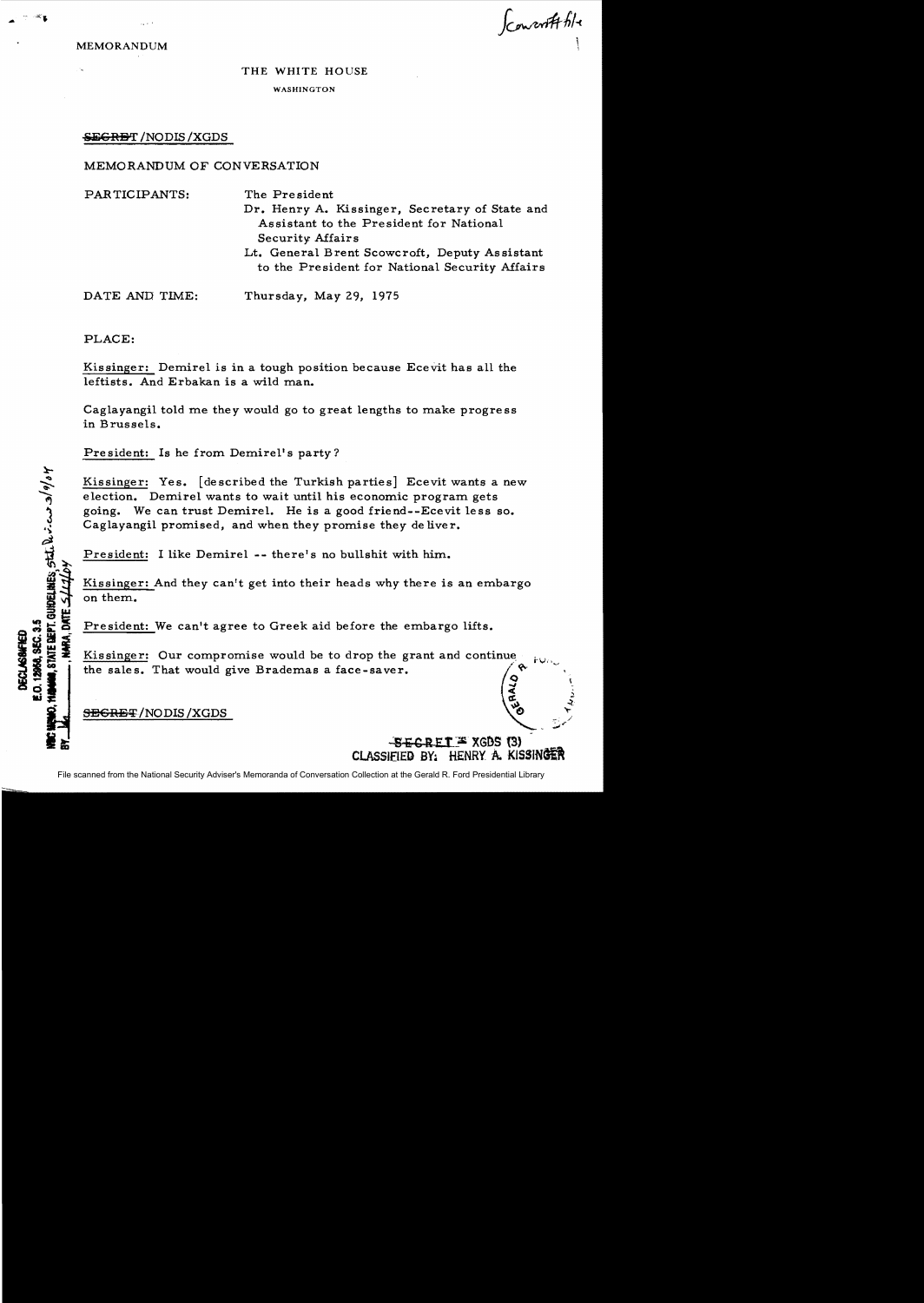Convert file

MEMORANDUM

## THE WHITE HOUSE WASHINGTON

## SEGRET / NODIS / XGDS

## MEMORANDUM OF CONVERSATION

PARTICIPANTS: The President Dr. Henry A. Kissinger, Secretary of State and Assistant to the President for National Security Affairs Lt. General Brent Scowcroft, Deputy Assistant to the President for National Security Affairs DATE AND TIME: Thursday, May 29, 1975

PLACE:

E.O. 12956, SEC. 3.5 **DECLASSATED** 

HARA, DATE

Kissinger: Demirel is in a tough position because Ecevit has all the leftists. And Erbakan is a wild man.

Caglayangil told me they would go to great lengths to make progress in Brussels.

President: Is he from Demirel's party?

Kissinger: Yes. [described the Turkish parties] *Ecevit* wants a new election. Demirel wants to wait until his economic program gets going. We can trust Demirel. He is a good friend--Ecevit less so. Caglayangil promised, and when they promise they de liver.

President: I like Demirel -- there's no bullshit with him.

Kissinger: And they can't get into their heads why there is an embargo on them..

President: We can't agree to Greek aid before the embargo lifts.

Kissinger: Our compromise would be to drop the grant and continue President: We can't agree to Greek aid before the embargo lifts.<br>Kissinger: Our compromise would be to drop the grant and continue<br>the sales. That would give Brademas a face-saver.

SEGRET/NODIS/XGDS

 $-$ S $-$ GRET  $\cong$  XGDS (3) CLASSIFIED BY: HENRY A. KISSINGER

 $\epsilon$  , and  $\epsilon$ cs:: <sup>~</sup>